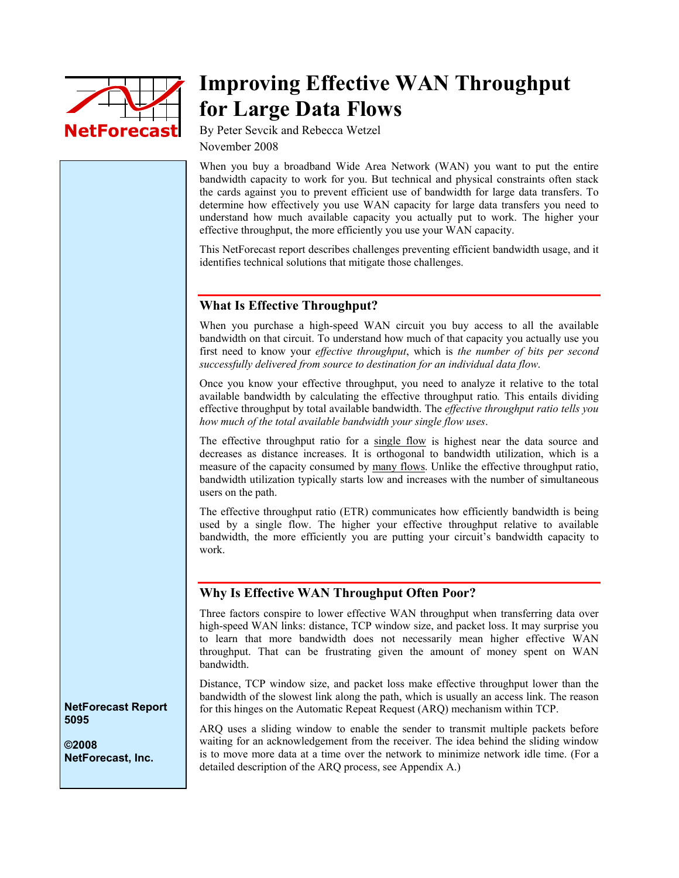

# **Improving Effective WAN Throughput for Large Data Flows**

By Peter Sevcik and Rebecca Wetzel November 2008

When you buy a broadband Wide Area Network (WAN) you want to put the entire bandwidth capacity to work for you. But technical and physical constraints often stack the cards against you to prevent efficient use of bandwidth for large data transfers. To determine how effectively you use WAN capacity for large data transfers you need to understand how much available capacity you actually put to work. The higher your effective throughput, the more efficiently you use your WAN capacity.

This NetForecast report describes challenges preventing efficient bandwidth usage, and it identifies technical solutions that mitigate those challenges.

## **What Is Effective Throughput?**

When you purchase a high-speed WAN circuit you buy access to all the available bandwidth on that circuit. To understand how much of that capacity you actually use you first need to know your *effective throughput*, which is *the number of bits per second successfully delivered from source to destination for an individual data flow*.

Once you know your effective throughput, you need to analyze it relative to the total available bandwidth by calculating the effective throughput ratio*.* This entails dividing effective throughput by total available bandwidth. The *effective throughput ratio tells you how much of the total available bandwidth your single flow uses*.

The effective throughput ratio for a single flow is highest near the data source and decreases as distance increases. It is orthogonal to bandwidth utilization, which is a measure of the capacity consumed by many flows. Unlike the effective throughput ratio, bandwidth utilization typically starts low and increases with the number of simultaneous users on the path.

The effective throughput ratio (ETR) communicates how efficiently bandwidth is being used by a single flow. The higher your effective throughput relative to available bandwidth, the more efficiently you are putting your circuit's bandwidth capacity to work.

### **Why Is Effective WAN Throughput Often Poor?**

Three factors conspire to lower effective WAN throughput when transferring data over high-speed WAN links: distance, TCP window size, and packet loss. It may surprise you to learn that more bandwidth does not necessarily mean higher effective WAN throughput. That can be frustrating given the amount of money spent on WAN bandwidth.

Distance, TCP window size, and packet loss make effective throughput lower than the bandwidth of the slowest link along the path, which is usually an access link. The reason for this hinges on the Automatic Repeat Request (ARQ) mechanism within TCP.

ARQ uses a sliding window to enable the sender to transmit multiple packets before waiting for an acknowledgement from the receiver. The idea behind the sliding window is to move more data at a time over the network to minimize network idle time. (For a detailed description of the ARQ process, see Appendix A.)

**NetForecast Report 5095** 

**©2008 NetForecast, Inc.**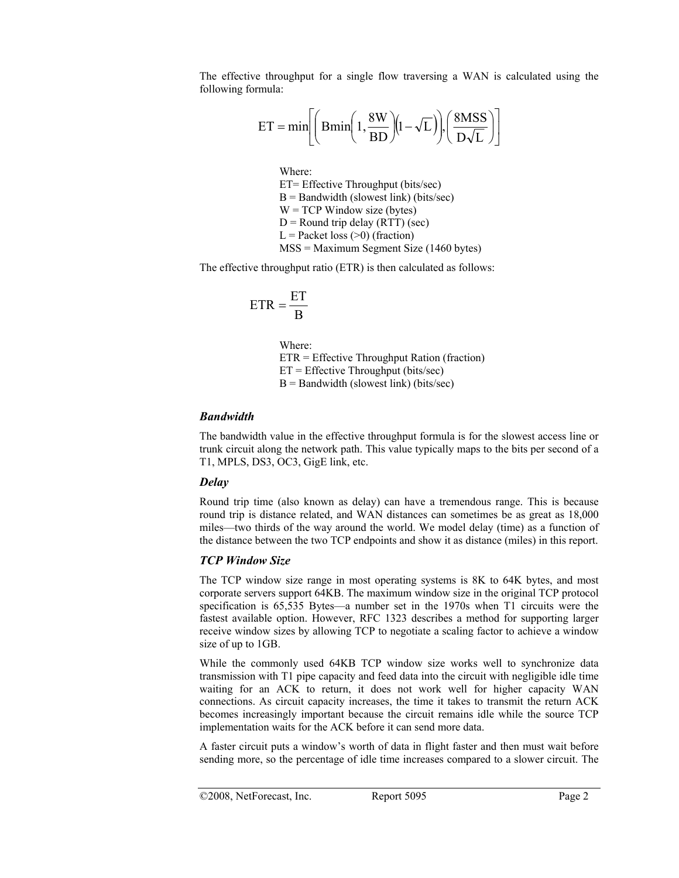The effective throughput for a single flow traversing a WAN is calculated using the following formula:

$$
ET = min \left[ \left( Bmin \left( 1, \frac{8W}{BD} \right) \left( 1 - \sqrt{L} \right) \right], \left( \frac{8MSS}{D\sqrt{L}} \right) \right]
$$

Where: ET= Effective Throughput (bits/sec)  $B =$  Bandwidth (slowest link) (bits/sec)  $W = TCP$  Window size (bytes)  $D =$ Round trip delay (RTT) (sec)  $L =$  Packet loss (>0) (fraction) MSS = Maximum Segment Size (1460 bytes)

The effective throughput ratio (ETR) is then calculated as follows:

$$
ETR = \frac{ET}{B}
$$

Where: ETR = Effective Throughput Ration (fraction)  $ET = Effective Throughout (bits/sec)$  $B =$  Bandwidth (slowest link) (bits/sec)

## *Bandwidth*

The bandwidth value in the effective throughput formula is for the slowest access line or trunk circuit along the network path. This value typically maps to the bits per second of a T1, MPLS, DS3, OC3, GigE link, etc.

## *Delay*

Round trip time (also known as delay) can have a tremendous range. This is because round trip is distance related, and WAN distances can sometimes be as great as 18,000 miles—two thirds of the way around the world. We model delay (time) as a function of the distance between the two TCP endpoints and show it as distance (miles) in this report.

# *TCP Window Size*

The TCP window size range in most operating systems is 8K to 64K bytes, and most corporate servers support 64KB. The maximum window size in the original TCP protocol specification is 65,535 Bytes—a number set in the 1970s when T1 circuits were the fastest available option. However, RFC 1323 describes a method for supporting larger receive window sizes by allowing TCP to negotiate a scaling factor to achieve a window size of up to 1GB.

While the commonly used 64KB TCP window size works well to synchronize data transmission with T1 pipe capacity and feed data into the circuit with negligible idle time waiting for an ACK to return, it does not work well for higher capacity WAN connections. As circuit capacity increases, the time it takes to transmit the return ACK becomes increasingly important because the circuit remains idle while the source TCP implementation waits for the ACK before it can send more data.

A faster circuit puts a window's worth of data in flight faster and then must wait before sending more, so the percentage of idle time increases compared to a slower circuit. The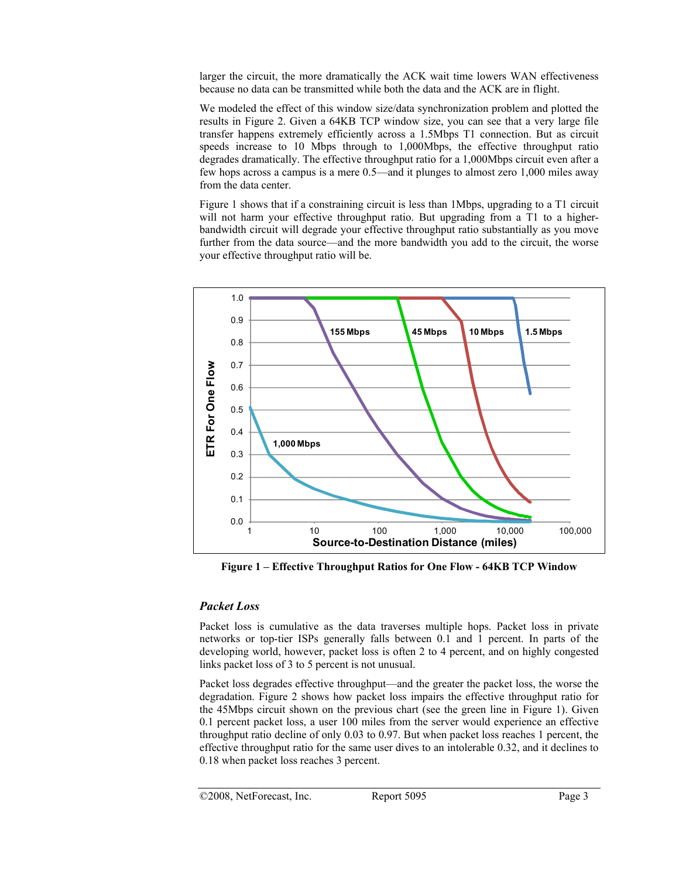larger the circuit, the more dramatically the ACK wait time lowers WAN effectiveness because no data can be transmitted while both the data and the ACK are in flight.

We modeled the effect of this window size/data synchronization problem and plotted the results in Figure 2. Given a 64KB TCP window size, you can see that a very large file transfer happens extremely efficiently across a 1.5Mbps T1 connection. But as circuit speeds increase to 10 Mbps through to 1,000Mbps, the effective throughput ratio degrades dramatically. The effective throughput ratio for a 1,000Mbps circuit even after a few hops across a campus is a mere 0.5—and it plunges to almost zero 1,000 miles away from the data center.

Figure 1 shows that if a constraining circuit is less than 1Mbps, upgrading to a T1 circuit will not harm your effective throughput ratio. But upgrading from a T1 to a higherbandwidth circuit will degrade your effective throughput ratio substantially as you move further from the data source—and the more bandwidth you add to the circuit, the worse your effective throughput ratio will be.



**Figure 1 – Effective Throughput Ratios for One Flow - 64KB TCP Window** 

#### *Packet Loss*

Packet loss is cumulative as the data traverses multiple hops. Packet loss in private networks or top-tier ISPs generally falls between 0.1 and 1 percent. In parts of the developing world, however, packet loss is often 2 to 4 percent, and on highly congested links packet loss of 3 to 5 percent is not unusual.

Packet loss degrades effective throughput—and the greater the packet loss, the worse the degradation. Figure 2 shows how packet loss impairs the effective throughput ratio for the 45Mbps circuit shown on the previous chart (see the green line in Figure 1). Given 0.1 percent packet loss, a user 100 miles from the server would experience an effective throughput ratio decline of only 0.03 to 0.97. But when packet loss reaches 1 percent, the effective throughput ratio for the same user dives to an intolerable 0.32, and it declines to 0.18 when packet loss reaches 3 percent.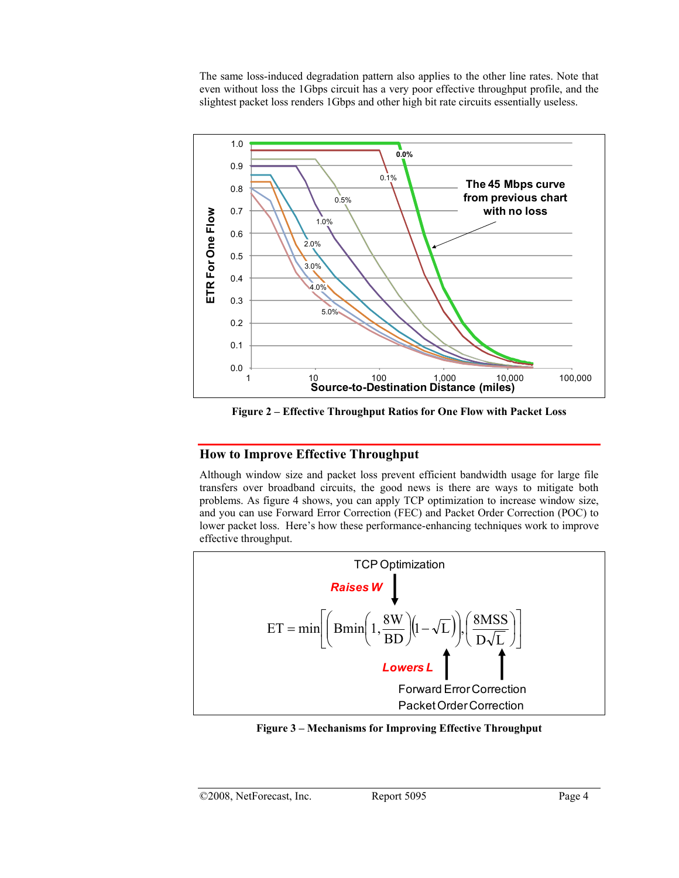The same loss-induced degradation pattern also applies to the other line rates. Note that even without loss the 1Gbps circuit has a very poor effective throughput profile, and the slightest packet loss renders 1Gbps and other high bit rate circuits essentially useless.



**Figure 2 – Effective Throughput Ratios for One Flow with Packet Loss** 

# **How to Improve Effective Throughput**

Although window size and packet loss prevent efficient bandwidth usage for large file transfers over broadband circuits, the good news is there are ways to mitigate both problems. As figure 4 shows, you can apply TCP optimization to increase window size, and you can use Forward Error Correction (FEC) and Packet Order Correction (POC) to lower packet loss. Here's how these performance-enhancing techniques work to improve effective throughput.



**Figure 3 – Mechanisms for Improving Effective Throughput**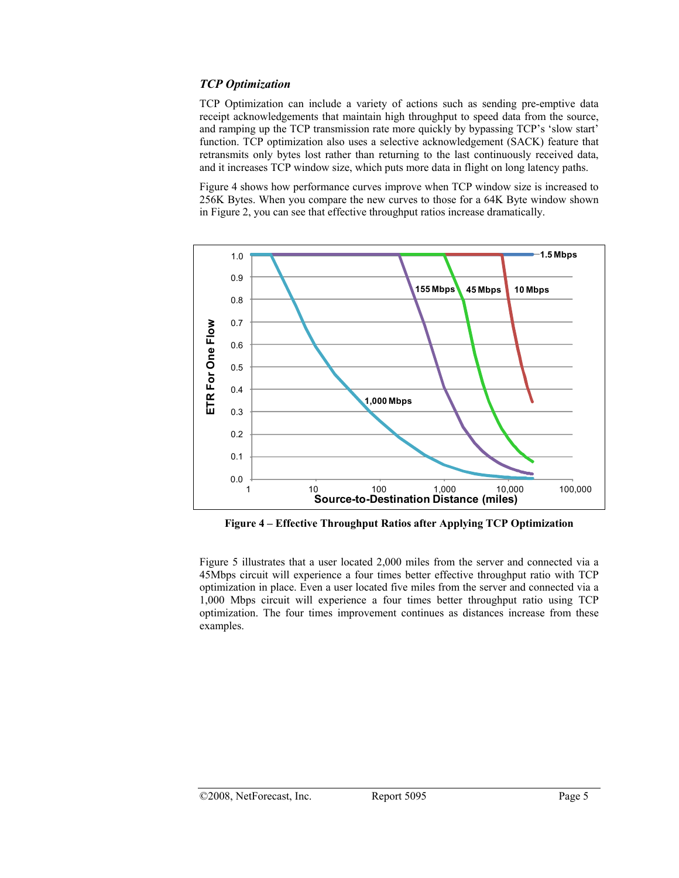### *TCP Optimization*

TCP Optimization can include a variety of actions such as sending pre-emptive data receipt acknowledgements that maintain high throughput to speed data from the source, and ramping up the TCP transmission rate more quickly by bypassing TCP's 'slow start' function. TCP optimization also uses a selective acknowledgement (SACK) feature that retransmits only bytes lost rather than returning to the last continuously received data, and it increases TCP window size, which puts more data in flight on long latency paths.

Figure 4 shows how performance curves improve when TCP window size is increased to 256K Bytes. When you compare the new curves to those for a 64K Byte window shown in Figure 2, you can see that effective throughput ratios increase dramatically.



**Figure 4 – Effective Throughput Ratios after Applying TCP Optimization**

Figure 5 illustrates that a user located 2,000 miles from the server and connected via a 45Mbps circuit will experience a four times better effective throughput ratio with TCP optimization in place. Even a user located five miles from the server and connected via a 1,000 Mbps circuit will experience a four times better throughput ratio using TCP optimization. The four times improvement continues as distances increase from these examples.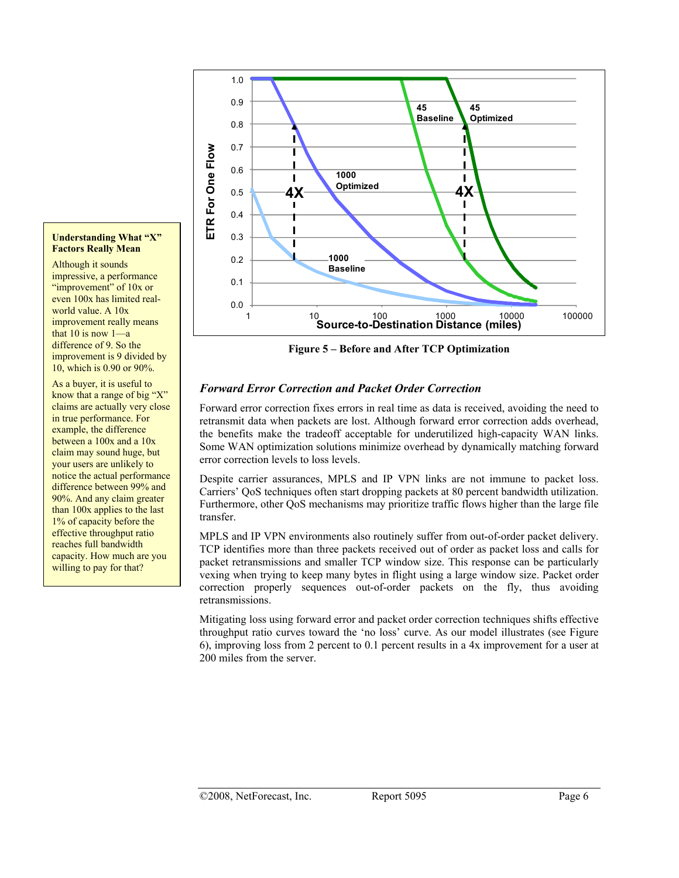

impressive, a performance "improvement" of 10x or even 100x has limited realworld value. A 10x improvement really means that  $10$  is now  $1$ —a difference of 9. So the improvement is 9 divided by 10, which is 0.90 or 90%.

As a buyer, it is useful to know that a range of big "X" claims are actually very close in true performance. For example, the difference between a 100x and a 10x claim may sound huge, but your users are unlikely to notice the actual performance difference between 99% and 90%. And any claim greater than 100x applies to the last 1% of capacity before the effective throughput ratio reaches full bandwidth capacity. How much are you willing to pay for that?



**Figure 5 – Before and After TCP Optimization** 

## *Forward Error Correction and Packet Order Correction*

Forward error correction fixes errors in real time as data is received, avoiding the need to retransmit data when packets are lost. Although forward error correction adds overhead, the benefits make the tradeoff acceptable for underutilized high-capacity WAN links. Some WAN optimization solutions minimize overhead by dynamically matching forward error correction levels to loss levels.

Despite carrier assurances, MPLS and IP VPN links are not immune to packet loss. Carriers' QoS techniques often start dropping packets at 80 percent bandwidth utilization. Furthermore, other QoS mechanisms may prioritize traffic flows higher than the large file transfer.

MPLS and IP VPN environments also routinely suffer from out-of-order packet delivery. TCP identifies more than three packets received out of order as packet loss and calls for packet retransmissions and smaller TCP window size. This response can be particularly vexing when trying to keep many bytes in flight using a large window size. Packet order correction properly sequences out-of-order packets on the fly, thus avoiding retransmissions.

Mitigating loss using forward error and packet order correction techniques shifts effective throughput ratio curves toward the 'no loss' curve. As our model illustrates (see Figure 6), improving loss from 2 percent to 0.1 percent results in a 4x improvement for a user at 200 miles from the server.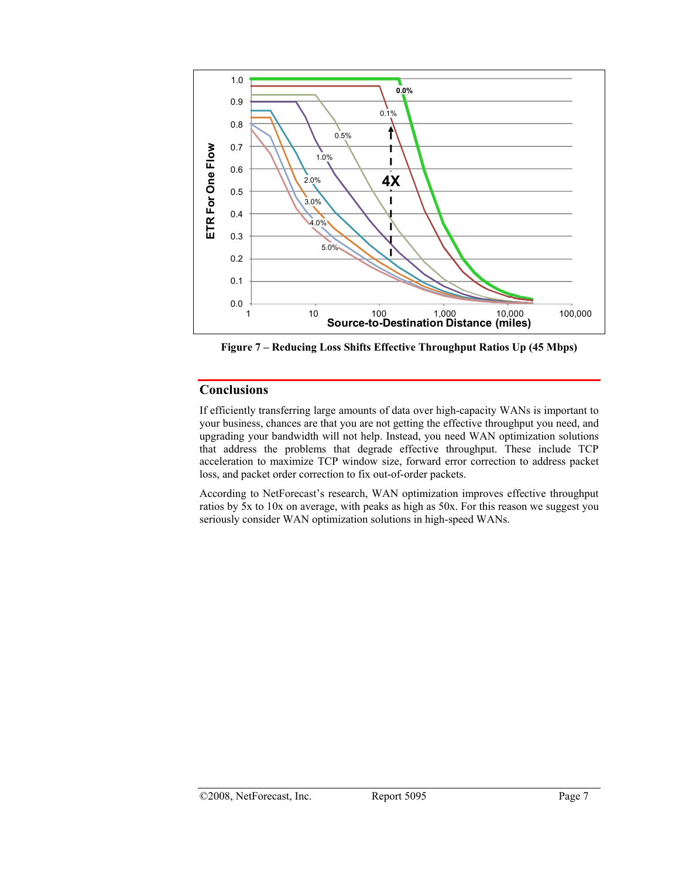

**Figure 7 – Reducing Loss Shifts Effective Throughput Ratios Up (45 Mbps)** 

## **Conclusions**

If efficiently transferring large amounts of data over high-capacity WANs is important to your business, chances are that you are not getting the effective throughput you need, and upgrading your bandwidth will not help. Instead, you need WAN optimization solutions that address the problems that degrade effective throughput. These include TCP acceleration to maximize TCP window size, forward error correction to address packet loss, and packet order correction to fix out-of-order packets.

According to NetForecast's research, WAN optimization improves effective throughput ratios by 5x to 10x on average, with peaks as high as 50x. For this reason we suggest you seriously consider WAN optimization solutions in high-speed WANs.